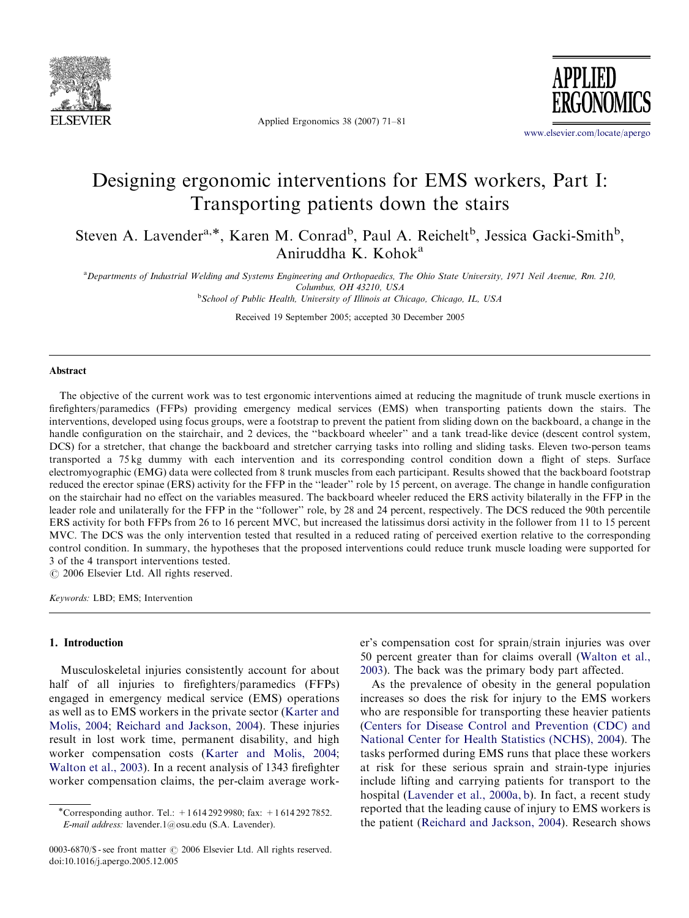

Applied Ergonomics 38 (2007) 71–81

**APPLIED** 

<www.elsevier.com/locate/apergo>

## Designing ergonomic interventions for EMS workers, Part I: Transporting patients down the stairs

Steven A. Lavender<sup>a,\*</sup>, Karen M. Conrad<sup>b</sup>, Paul A. Reichelt<sup>b</sup>, Jessica Gacki-Smith<sup>b</sup>, Aniruddha K. Kohok<sup>a</sup>

<sup>a</sup> Departments of Industrial Welding and Systems Engineering and Orthopaedics, The Ohio State University, 1971 Neil Avenue, Rm. 210, Columbus, OH 43210, USA

<sup>b</sup>School of Public Health, University of Illinois at Chicago, Chicago, IL, USA

Received 19 September 2005; accepted 30 December 2005

#### Abstract

The objective of the current work was to test ergonomic interventions aimed at reducing the magnitude of trunk muscle exertions in firefighters/paramedics (FFPs) providing emergency medical services (EMS) when transporting patients down the stairs. The interventions, developed using focus groups, were a footstrap to prevent the patient from sliding down on the backboard, a change in the handle configuration on the stairchair, and 2 devices, the ''backboard wheeler'' and a tank tread-like device (descent control system, DCS) for a stretcher, that change the backboard and stretcher carrying tasks into rolling and sliding tasks. Eleven two-person teams transported a 75 kg dummy with each intervention and its corresponding control condition down a flight of steps. Surface electromyographic (EMG) data were collected from 8 trunk muscles from each participant. Results showed that the backboard footstrap reduced the erector spinae (ERS) activity for the FFP in the ''leader'' role by 15 percent, on average. The change in handle configuration on the stairchair had no effect on the variables measured. The backboard wheeler reduced the ERS activity bilaterally in the FFP in the leader role and unilaterally for the FFP in the ''follower'' role, by 28 and 24 percent, respectively. The DCS reduced the 90th percentile ERS activity for both FFPs from 26 to 16 percent MVC, but increased the latissimus dorsi activity in the follower from 11 to 15 percent MVC. The DCS was the only intervention tested that resulted in a reduced rating of perceived exertion relative to the corresponding control condition. In summary, the hypotheses that the proposed interventions could reduce trunk muscle loading were supported for 3 of the 4 transport interventions tested.

 $C$  2006 Elsevier Ltd. All rights reserved.

Keywords: LBD; EMS; Intervention

#### 1. Introduction

Musculoskeletal injuries consistently account for about half of all injuries to firefighters/paramedics (FFPs) engaged in emergency medical service (EMS) operations as well as to EMS workers in the private sector ([Karter and](#page--1-0) [Molis, 2004;](#page--1-0) [Reichard and Jackson, 2004\)](#page--1-0). These injuries result in lost work time, permanent disability, and high worker compensation costs ([Karter and Molis, 2004;](#page--1-0) [Walton et al., 2003\)](#page--1-0). In a recent analysis of 1343 firefighter worker compensation claims, the per-claim average worker's compensation cost for sprain/strain injuries was over 50 percent greater than for claims overall ([Walton et al.,](#page--1-0) [2003](#page--1-0)). The back was the primary body part affected.

As the prevalence of obesity in the general population increases so does the risk for injury to the EMS workers who are responsible for transporting these heavier patients ([Centers for Disease Control and Prevention \(CDC\) and](#page--1-0) [National Center for Health Statistics \(NCHS\), 2004\)](#page--1-0). The tasks performed during EMS runs that place these workers at risk for these serious sprain and strain-type injuries include lifting and carrying patients for transport to the hospital [\(Lavender et al., 2000a, b](#page--1-0)). In fact, a recent study reported that the leading cause of injury to EMS workers is the patient [\(Reichard and Jackson, 2004](#page--1-0)). Research shows

<sup>\*</sup>Corresponding author. Tel.:  $+16142929980$ ; fax:  $+16142927852$ . E-mail address: lavender.1@osu.edu (S.A. Lavender).

<sup>0003-6870/\$ -</sup> see front matter  $\odot$  2006 Elsevier Ltd. All rights reserved. doi:10.1016/j.apergo.2005.12.005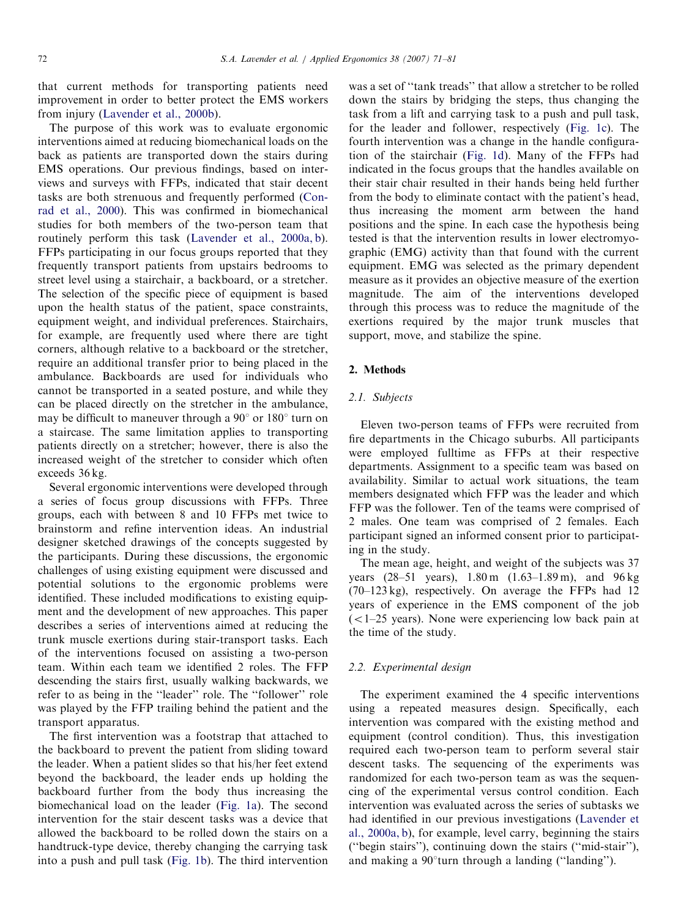that current methods for transporting patients need improvement in order to better protect the EMS workers from injury ([Lavender et al., 2000b](#page--1-0)).

The purpose of this work was to evaluate ergonomic interventions aimed at reducing biomechanical loads on the back as patients are transported down the stairs during EMS operations. Our previous findings, based on interviews and surveys with FFPs, indicated that stair decent tasks are both strenuous and frequently performed [\(Con](#page--1-0)[rad et al., 2000\)](#page--1-0). This was confirmed in biomechanical studies for both members of the two-person team that routinely perform this task ([Lavender et al., 2000a, b\)](#page--1-0). FFPs participating in our focus groups reported that they frequently transport patients from upstairs bedrooms to street level using a stairchair, a backboard, or a stretcher. The selection of the specific piece of equipment is based upon the health status of the patient, space constraints, equipment weight, and individual preferences. Stairchairs, for example, are frequently used where there are tight corners, although relative to a backboard or the stretcher, require an additional transfer prior to being placed in the ambulance. Backboards are used for individuals who cannot be transported in a seated posture, and while they can be placed directly on the stretcher in the ambulance, may be difficult to maneuver through a  $90^{\circ}$  or  $180^{\circ}$  turn on a staircase. The same limitation applies to transporting patients directly on a stretcher; however, there is also the increased weight of the stretcher to consider which often exceeds 36 kg.

Several ergonomic interventions were developed through a series of focus group discussions with FFPs. Three groups, each with between 8 and 10 FFPs met twice to brainstorm and refine intervention ideas. An industrial designer sketched drawings of the concepts suggested by the participants. During these discussions, the ergonomic challenges of using existing equipment were discussed and potential solutions to the ergonomic problems were identified. These included modifications to existing equipment and the development of new approaches. This paper describes a series of interventions aimed at reducing the trunk muscle exertions during stair-transport tasks. Each of the interventions focused on assisting a two-person team. Within each team we identified 2 roles. The FFP descending the stairs first, usually walking backwards, we refer to as being in the ''leader'' role. The ''follower'' role was played by the FFP trailing behind the patient and the transport apparatus.

The first intervention was a footstrap that attached to the backboard to prevent the patient from sliding toward the leader. When a patient slides so that his/her feet extend beyond the backboard, the leader ends up holding the backboard further from the body thus increasing the biomechanical load on the leader [\(Fig. 1a](#page--1-0)). The second intervention for the stair descent tasks was a device that allowed the backboard to be rolled down the stairs on a handtruck-type device, thereby changing the carrying task into a push and pull task [\(Fig. 1b\)](#page--1-0). The third intervention was a set of ''tank treads'' that allow a stretcher to be rolled down the stairs by bridging the steps, thus changing the task from a lift and carrying task to a push and pull task, for the leader and follower, respectively ([Fig. 1c\)](#page--1-0). The fourth intervention was a change in the handle configuration of the stairchair ([Fig. 1d\)](#page--1-0). Many of the FFPs had indicated in the focus groups that the handles available on their stair chair resulted in their hands being held further from the body to eliminate contact with the patient's head, thus increasing the moment arm between the hand positions and the spine. In each case the hypothesis being tested is that the intervention results in lower electromyographic (EMG) activity than that found with the current equipment. EMG was selected as the primary dependent measure as it provides an objective measure of the exertion magnitude. The aim of the interventions developed through this process was to reduce the magnitude of the exertions required by the major trunk muscles that support, move, and stabilize the spine.

### 2. Methods

#### 2.1. Subjects

Eleven two-person teams of FFPs were recruited from fire departments in the Chicago suburbs. All participants were employed fulltime as FFPs at their respective departments. Assignment to a specific team was based on availability. Similar to actual work situations, the team members designated which FFP was the leader and which FFP was the follower. Ten of the teams were comprised of 2 males. One team was comprised of 2 females. Each participant signed an informed consent prior to participating in the study.

The mean age, height, and weight of the subjects was 37 years (28–51 years), 1.80 m (1.63–1.89 m), and 96 kg (70–123 kg), respectively. On average the FFPs had 12 years of experience in the EMS component of the job  $(<1-25$  years). None were experiencing low back pain at the time of the study.

## 2.2. Experimental design

The experiment examined the 4 specific interventions using a repeated measures design. Specifically, each intervention was compared with the existing method and equipment (control condition). Thus, this investigation required each two-person team to perform several stair descent tasks. The sequencing of the experiments was randomized for each two-person team as was the sequencing of the experimental versus control condition. Each intervention was evaluated across the series of subtasks we had identified in our previous investigations [\(Lavender et](#page--1-0) [al., 2000a, b\)](#page--1-0), for example, level carry, beginning the stairs (''begin stairs''), continuing down the stairs (''mid-stair''), and making a  $90^{\circ}$ turn through a landing ("landing").